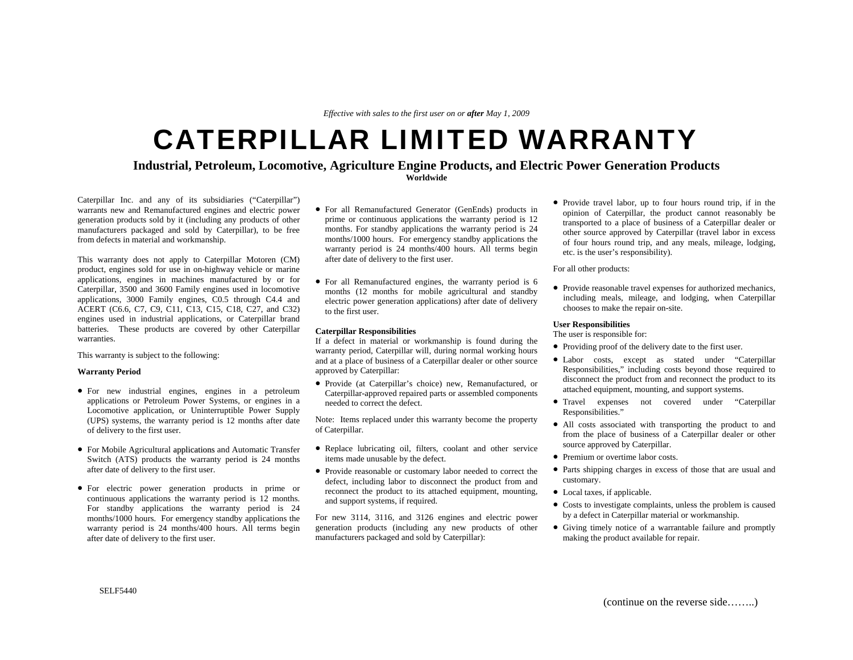*Effective with sales to the first user on or after May 1, 2009*

# CATERPILLAR LIMITED WARRANTY

## **Industrial, Petroleum, Locomotive, Agriculture Engine Products, and Electric Power Generation Products**

**Worldwide** 

Caterpillar Inc. and any of its subsidiaries ("Caterpillar") warrants new and Remanufactured engines and electric power generation products sold by it (including any products of other manufacturers packaged and sold by Caterpillar), to be free from defects in material and workmanship.

This warranty does not apply to Caterpillar Motoren (CM) product, engines sold for use in on-highway vehicle or marine applications, engines in machines manufactured by or for Caterpillar, 3500 and 3600 Family engines used in locomotive applications, 3000 Family engines, C0.5 through C4.4 and ACERT (C6.6, C7, C9, C11, C13, C15, C18, C27, and C32) engines used in industrial applications, or Caterpillar brand batteries. These products are covered by other Caterpillar warranties.

This warranty is subject to the following:

#### **Warranty Period**

- For new industrial engines, engines in a petroleum applications or Petroleum Power Systems, or engines in a Locomotive application, or Uninterruptible Power Supply (UPS) systems, the warranty period is 12 months after date of delivery to the first user.
- For Mobile Agricultural applications and Automatic Transfer Switch (ATS) products the warranty period is 24 months after date of delivery to the first user.
- For electric power generation products in prime or continuous applications the warranty period is 12 months. For standby applications the warranty period is 24 months/1000 hours. For emergency standby applications the warranty period is 24 months/400 hours. All terms begin after date of delivery to the first user.
- For all Remanufactured Generator (GenEnds) products in prime or continuous applications the warranty period is 12 months. For standby applications the warranty period is 24 months/1000 hours. For emergency standby applications the warranty period is 24 months/400 hours. All terms begin after date of delivery to the first user.
- For all Remanufactured engines, the warranty period is 6 months (12 months for mobile agricultural and standby electric power generation applications) after date of delivery to the first user.

#### **Caterpillar Responsibilities**

If a defect in material or workmanship is found during the warranty period, Caterpillar will, during normal working hours and at a place of business of a Caterpillar dealer or other source approved by Caterpillar:

• Provide (at Caterpillar's choice) new, Remanufactured, or Caterpillar-approved repaired parts or assembled components needed to correct the defect.

Note: Items replaced under this warranty become the property of Caterpillar.

- Replace lubricating oil, filters, coolant and other service items made unusable by the defect.
- Provide reasonable or customary labor needed to correct the defect, including labor to disconnect the product from and reconnect the product to its attached equipment, mounting, and support systems, if required.

For new 3114, 3116, and 3126 engines and electric power generation products (including any new products of other manufacturers packaged and sold by Caterpillar):

• Provide travel labor, up to four hours round trip, if in the opinion of Caterpillar, the product cannot reasonably be transported to a place of business of a Caterpillar dealer or other source approved by Caterpillar (travel labor in excess of four hours round trip, and any meals, mileage, lodging, etc. is the user's responsibility).

For all other products:

• Provide reasonable travel expenses for authorized mechanics, including meals, mileage, and lodging, when Caterpillar chooses to make the repair on-site.

#### **User Responsibilities**

The user is responsible for:

- Providing proof of the delivery date to the first user.
- Labor costs, except as stated under "Caterpillar Responsibilities," including costs beyond those required to disconnect the product from and reconnect the product to its attached equipment, mounting, and support systems.
- Travel expenses not covered under "Caterpillar Responsibilities."
- All costs associated with transporting the product to and from the place of business of a Caterpillar dealer or other source approved by Caterpillar.
- Premium or overtime labor costs.
- Parts shipping charges in excess of those that are usual and customary.
- Local taxes, if applicable.
- Costs to investigate complaints, unless the problem is caused by a defect in Caterpillar material or workmanship.
- Giving timely notice of a warrantable failure and promptly making the product available for repair.